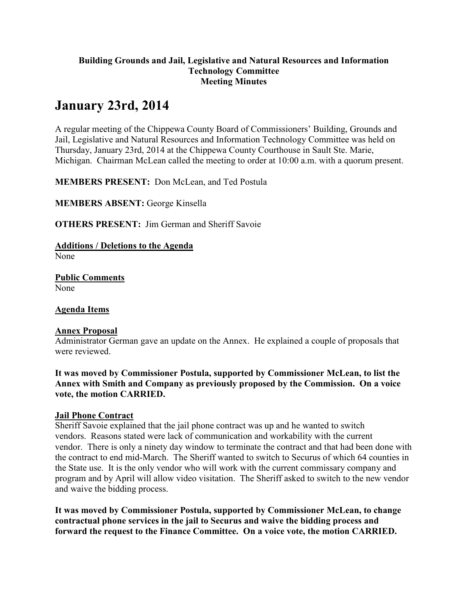#### **Building Grounds and Jail, Legislative and Natural Resources and Information Technology Committee Meeting Minutes**

# **January 23rd, 2014**

A regular meeting of the Chippewa County Board of Commissioners' Building, Grounds and Jail, Legislative and Natural Resources and Information Technology Committee was held on Thursday, January 23rd, 2014 at the Chippewa County Courthouse in Sault Ste. Marie, Michigan. Chairman McLean called the meeting to order at 10:00 a.m. with a quorum present.

**MEMBERS PRESENT:** Don McLean, and Ted Postula

**MEMBERS ABSENT:** George Kinsella

**OTHERS PRESENT:** Jim German and Sheriff Savoie

**Additions / Deletions to the Agenda** 

None

**Public Comments** None

**Agenda Items**

## **Annex Proposal**

Administrator German gave an update on the Annex. He explained a couple of proposals that were reviewed.

**It was moved by Commissioner Postula, supported by Commissioner McLean, to list the Annex with Smith and Company as previously proposed by the Commission. On a voice vote, the motion CARRIED.**

## **Jail Phone Contract**

Sheriff Savoie explained that the jail phone contract was up and he wanted to switch vendors. Reasons stated were lack of communication and workability with the current vendor. There is only a ninety day window to terminate the contract and that had been done with the contract to end mid-March. The Sheriff wanted to switch to Securus of which 64 counties in the State use. It is the only vendor who will work with the current commissary company and program and by April will allow video visitation. The Sheriff asked to switch to the new vendor and waive the bidding process.

**It was moved by Commissioner Postula, supported by Commissioner McLean, to change contractual phone services in the jail to Securus and waive the bidding process and forward the request to the Finance Committee. On a voice vote, the motion CARRIED.**